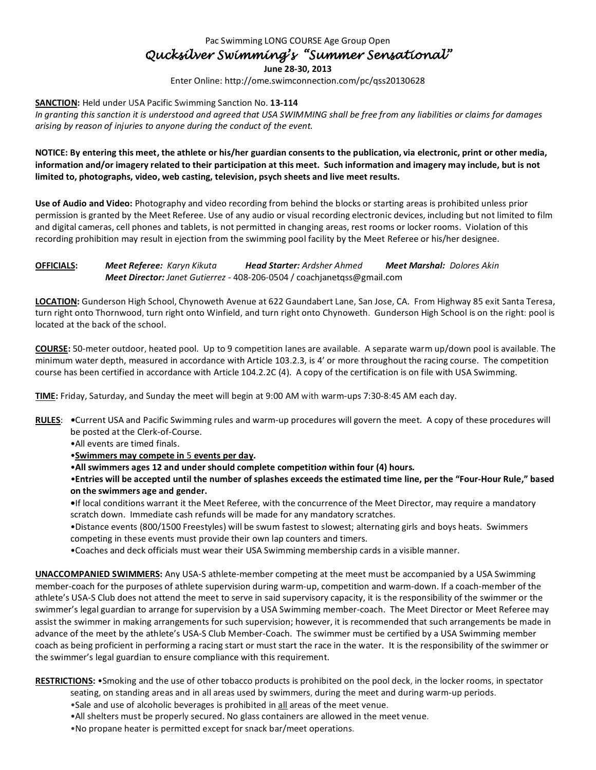Pac Swimming LONG COURSE Age Group Open

## *Qucksilver Swimming's "Summer Sensational"*

**June 28-30, 2013**

Enter Online: http://ome.swimconnection.com/pc/qss20130628

**SANCTION:** Held under USA Pacific Swimming Sanction No. **13-114**

*In granting this sanction it is understood and agreed that USA SWIMMING shall be free from any liabilities or claims for damages arising by reason of injuries to anyone during the conduct of the event.*

**NOTICE: By entering this meet, the athlete or his/her guardian consents to the publication, via electronic, print or other media, information and/or imagery related to their participation at this meet. Such information and imagery may include, but is not limited to, photographs, video, web casting, television, psych sheets and live meet results.** 

**Use of Audio and Video:** Photography and video recording from behind the blocks or starting areas is prohibited unless prior permission is granted by the Meet Referee. Use of any audio or visual recording electronic devices, including but not limited to film and digital cameras, cell phones and tablets, is not permitted in changing areas, rest rooms or locker rooms. Violation of this recording prohibition may result in ejection from the swimming pool facility by the Meet Referee or his/her designee.

**OFFICIALS:** *Meet Referee: Karyn Kikuta Head Starter: Ardsher Ahmed Meet Marshal: Dolores Akin Meet Director: Janet Gutierrez -* 408-206-0504 / coachjanetqss@gmail.com

**LOCATION:** Gunderson High School, Chynoweth Avenue at 622 Gaundabert Lane, San Jose, CA. From Highway 85 exit Santa Teresa, turn right onto Thornwood, turn right onto Winfield, and turn right onto Chynoweth. Gunderson High School is on the right: pool is located at the back of the school.

**COURSE:** 50-meter outdoor, heated pool. Up to 9 competition lanes are available. A separate warm up/down pool is available. The minimum water depth, measured in accordance with Article 103.2.3, is 4' or more throughout the racing course. The competition course has been certified in accordance with Article 104.2.2C (4). A copy of the certification is on file with USA Swimming.

**TIME:** Friday, Saturday, and Sunday the meet will begin at 9:00 AM with warm-ups 7:30-8:45 AM each day.

- **RULES**: *•*Current USA and Pacific Swimming rules and warm-up procedures will govern the meet. A copy of these procedures will be posted at the Clerk-of-Course.
	- •All events are timed finals.
	- •**Swimmers may compete in** 5 **events per day.**
	- •**All swimmers ages 12 and under should complete competitio***n* **within four (4) hours***.*

*•***Entries will be accepted until the number of splashes exceeds the estimated time line, per the "Four-Hour Rule," based on the swimmers age and gender.** 

**•**If local conditions warrant it the Meet Referee, with the concurrence of the Meet Director, may require a mandatory scratch down. Immediate cash refunds will be made for any mandatory scratches.

- •Distance events (800/1500 Freestyles) will be swum fastest to slowest; alternating girls and boys heats. Swimmers competing in these events must provide their own lap counters and timers.
- •Coaches and deck officials must wear their USA Swimming membership cards in a visible manner.

**UNACCOMPANIED SWIMMERS:** Any USA-S athlete-member competing at the meet must be accompanied by a USA Swimming member-coach for the purposes of athlete supervision during warm-up, competition and warm-down. If a coach-member of the athlete's USA-S Club does not attend the meet to serve in said supervisory capacity, it is the responsibility of the swimmer or the swimmer's legal guardian to arrange for supervision by a USA Swimming member-coach. The Meet Director or Meet Referee may assist the swimmer in making arrangements for such supervision; however, it is recommended that such arrangements be made in advance of the meet by the athlete's USA-S Club Member-Coach. The swimmer must be certified by a USA Swimming member coach as being proficient in performing a racing start or must start the race in the water. It is the responsibility of the swimmer or the swimmer's legal guardian to ensure compliance with this requirement.

**RESTRICTIONS:** •Smoking and the use of other tobacco products is prohibited on the pool deck, in the locker rooms, in spectator

- seating, on standing areas and in all areas used by swimmers, during the meet and during warm-up periods.
- •Sale and use of alcoholic beverages is prohibited in all areas of the meet venue. •All shelters must be properly secured. No glass containers are allowed in the meet venue.
- 
- •No propane heater is permitted except for snack bar/meet operations.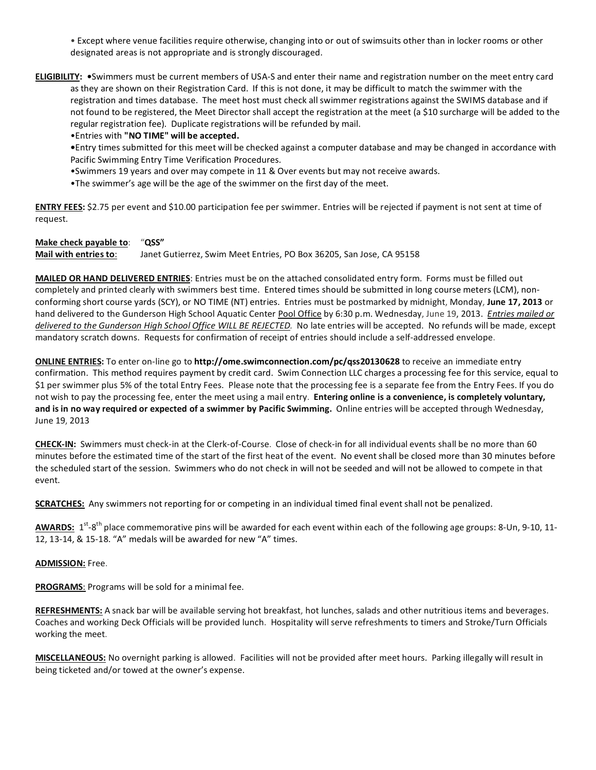• Except where venue facilities require otherwise, changing into or out of swimsuits other than in locker rooms or other designated areas is not appropriate and is strongly discouraged.

**ELIGIBILITY: •**Swimmers must be current members of USA-S and enter their name and registration number on the meet entry card as they are shown on their Registration Card. If this is not done, it may be difficult to match the swimmer with the registration and times database. The meet host must check all swimmer registrations against the SWIMS database and if not found to be registered, the Meet Director shall accept the registration at the meet (a \$10 surcharge will be added to the regular registration fee). Duplicate registrations will be refunded by mail.

•Entries with **"NO TIME" will be accepted.** 

**•**Entry times submitted for this meet will be checked against a computer database and may be changed in accordance with Pacific Swimming Entry Time Verification Procedures.

•Swimmers 19 years and over may compete in 11 & Over events but may not receive awards.

•The swimmer's age will be the age of the swimmer on the first day of the meet.

**ENTRY FEES:** \$2.75 per event and \$10.00 participation fee per swimmer. Entries will be rejected if payment is not sent at time of request.

## **Make check payable to**: "**QSS"**

**Mail with entries to**: Janet Gutierrez, Swim Meet Entries, PO Box 36205, San Jose, CA 95158

**MAILED OR HAND DELIVERED ENTRIES**: Entries must be on the attached consolidated entry form. Forms must be filled out completely and printed clearly with swimmers best time. Entered times should be submitted in long course meters (LCM), nonconforming short course yards (SCY), or NO TIME (NT) entries. Entries must be postmarked by midnight, Monday, **June 17, 2013** or hand delivered to the Gunderson High School Aquatic Center Pool Office by 6:30 p.m. Wednesday, June 19, 2013. *Entries mailed or delivered to the Gunderson High School Office WILL BE REJECTED.* No late entries will be accepted. No refunds will be made, except mandatory scratch downs. Requests for confirmation of receipt of entries should include a self-addressed envelope.

**ONLINE ENTRIES:** To enter on-line go to **http://ome.swimconnection.com/pc/qss20130628** to receive an immediate entry confirmation. This method requires payment by credit card. Swim Connection LLC charges a processing fee for this service, equal to \$1 per swimmer plus 5% of the total Entry Fees. Please note that the processing fee is a separate fee from the Entry Fees. If you do not wish to pay the processing fee, enter the meet using a mail entry. **Entering online is a convenience, is completely voluntary, and is in no way required or expected of a swimmer by Pacific Swimming.** Online entries will be accepted through Wednesday, June 19, 2013

**CHECK-IN:** Swimmers must check-in at the Clerk-of-Course. Close of check-in for all individual events shall be no more than 60 minutes before the estimated time of the start of the first heat of the event. No event shall be closed more than 30 minutes before the scheduled start of the session. Swimmers who do not check in will not be seeded and will not be allowed to compete in that event.

**SCRATCHES:** Any swimmers not reporting for or competing in an individual timed final event shall not be penalized.

AWARDS: 1<sup>st</sup>-8<sup>th</sup> place commemorative pins will be awarded for each event within each of the following age groups: 8-Un, 9-10, 11-12, 13-14, & 15-18. "A" medals will be awarded for new "A" times.

## **ADMISSION:** Free.

**PROGRAMS**: Programs will be sold for a minimal fee.

**REFRESHMENTS:** A snack bar will be available serving hot breakfast, hot lunches, salads and other nutritious items and beverages. Coaches and working Deck Officials will be provided lunch. Hospitality will serve refreshments to timers and Stroke/Turn Officials working the meet.

**MISCELLANEOUS:** No overnight parking is allowed. Facilities will not be provided after meet hours. Parking illegally will result in being ticketed and/or towed at the owner's expense.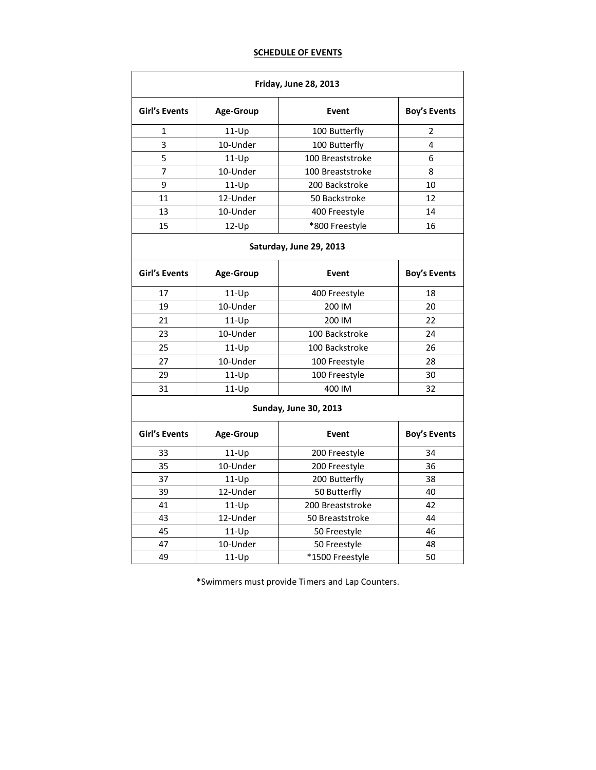## **SCHEDULE OF EVENTS**

| <b>Friday, June 28, 2013</b> |           |                  |                     |  |  |  |  |  |  |  |
|------------------------------|-----------|------------------|---------------------|--|--|--|--|--|--|--|
| <b>Girl's Events</b>         | Age-Group | Event            | <b>Boy's Events</b> |  |  |  |  |  |  |  |
| $\mathbf{1}$                 | $11-Up$   | 100 Butterfly    | 2                   |  |  |  |  |  |  |  |
| 3                            | 10-Under  | 100 Butterfly    | 4                   |  |  |  |  |  |  |  |
| 5                            | $11-Up$   | 100 Breaststroke | 6                   |  |  |  |  |  |  |  |
| 7                            | 10-Under  | 100 Breaststroke | 8                   |  |  |  |  |  |  |  |
| 9                            | $11-Up$   | 200 Backstroke   | 10                  |  |  |  |  |  |  |  |
| 11                           | 12-Under  | 50 Backstroke    | 12                  |  |  |  |  |  |  |  |
| 13                           | 10-Under  | 400 Freestyle    | 14                  |  |  |  |  |  |  |  |
| 15                           | $12-Up$   | 16               |                     |  |  |  |  |  |  |  |
| Saturday, June 29, 2013      |           |                  |                     |  |  |  |  |  |  |  |
| Girl's Events                | Age-Group | Event            | <b>Boy's Events</b> |  |  |  |  |  |  |  |
| 17                           | $11-Up$   | 400 Freestyle    | 18                  |  |  |  |  |  |  |  |
| 19                           | 10-Under  | 200 IM           | 20                  |  |  |  |  |  |  |  |
| 21                           | $11-Up$   | 200 IM           | 22                  |  |  |  |  |  |  |  |
| 23                           | 10-Under  | 100 Backstroke   | 24                  |  |  |  |  |  |  |  |
| 25                           | $11-Up$   | 100 Backstroke   | 26                  |  |  |  |  |  |  |  |
| 27                           | 10-Under  | 100 Freestyle    | 28                  |  |  |  |  |  |  |  |
| 29                           | $11-Up$   | 100 Freestyle    | 30                  |  |  |  |  |  |  |  |
| 31                           | $11-Up$   | 32               |                     |  |  |  |  |  |  |  |
| <b>Sunday, June 30, 2013</b> |           |                  |                     |  |  |  |  |  |  |  |
| <b>Girl's Events</b>         | Age-Group | Event            | <b>Boy's Events</b> |  |  |  |  |  |  |  |
| 33                           | $11-Up$   | 200 Freestyle    | 34                  |  |  |  |  |  |  |  |
| 35                           | 10-Under  | 200 Freestyle    | 36                  |  |  |  |  |  |  |  |
| 37                           | $11-Up$   | 200 Butterfly    | 38                  |  |  |  |  |  |  |  |
| 39                           | 12-Under  | 50 Butterfly     | 40                  |  |  |  |  |  |  |  |
| 41                           | $11-Up$   | 200 Breaststroke | 42                  |  |  |  |  |  |  |  |
| 43                           | 12-Under  | 50 Breaststroke  | 44                  |  |  |  |  |  |  |  |
| 45                           | $11-Up$   | 50 Freestyle     | 46                  |  |  |  |  |  |  |  |
| 47                           | 10-Under  | 50 Freestyle     | 48                  |  |  |  |  |  |  |  |
| 49                           | $11-Up$   | *1500 Freestyle  | 50                  |  |  |  |  |  |  |  |

\*Swimmers must provide Timers and Lap Counters.